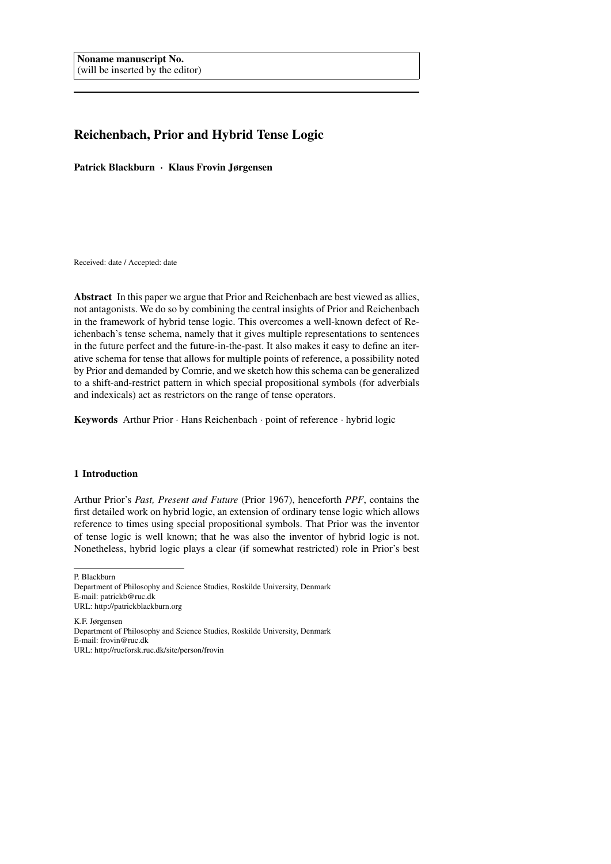# Reichenbach, Prior and Hybrid Tense Logic

Patrick Blackburn · Klaus Frovin Jørgensen

Received: date / Accepted: date

Abstract In this paper we argue that Prior and Reichenbach are best viewed as allies, not antagonists. We do so by combining the central insights of Prior and Reichenbach in the framework of hybrid tense logic. This overcomes a well-known defect of Reichenbach's tense schema, namely that it gives multiple representations to sentences in the future perfect and the future-in-the-past. It also makes it easy to define an iterative schema for tense that allows for multiple points of reference, a possibility noted by Prior and demanded by Comrie, and we sketch how this schema can be generalized to a shift-and-restrict pattern in which special propositional symbols (for adverbials and indexicals) act as restrictors on the range of tense operators.

Keywords Arthur Prior · Hans Reichenbach · point of reference · hybrid logic

# 1 Introduction

Arthur Prior's *Past, Present and Future* (Prior 1967), henceforth *PPF*, contains the first detailed work on hybrid logic, an extension of ordinary tense logic which allows reference to times using special propositional symbols. That Prior was the inventor of tense logic is well known; that he was also the inventor of hybrid logic is not. Nonetheless, hybrid logic plays a clear (if somewhat restricted) role in Prior's best

P. Blackburn

K.F. Jørgensen Department of Philosophy and Science Studies, Roskilde University, Denmark E-mail: frovin@ruc.dk URL: http://rucforsk.ruc.dk/site/person/frovin

Department of Philosophy and Science Studies, Roskilde University, Denmark E-mail: patrickb@ruc.dk URL: http://patrickblackburn.org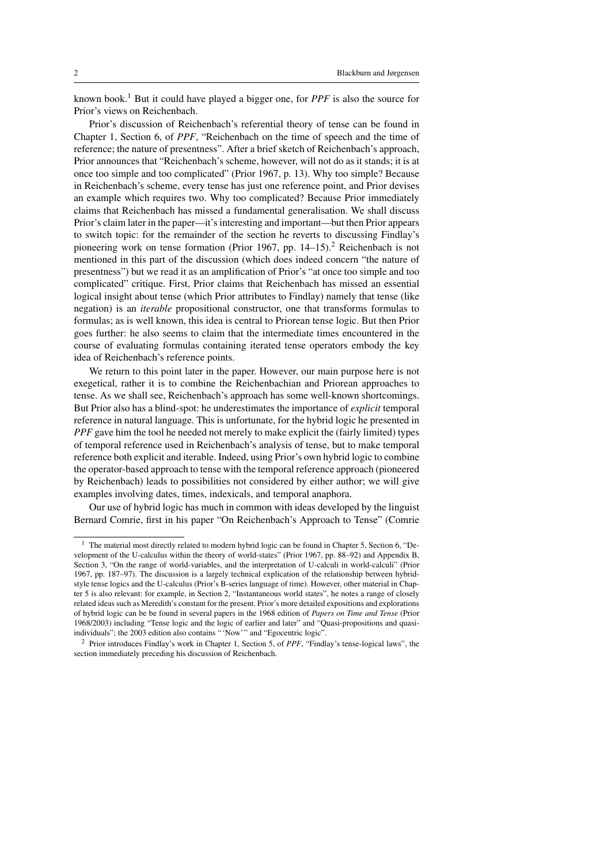known book.<sup>1</sup> But it could have played a bigger one, for *PPF* is also the source for Prior's views on Reichenbach.

Prior's discussion of Reichenbach's referential theory of tense can be found in Chapter 1, Section 6, of *PPF*, "Reichenbach on the time of speech and the time of reference; the nature of presentness". After a brief sketch of Reichenbach's approach, Prior announces that "Reichenbach's scheme, however, will not do as it stands; it is at once too simple and too complicated" (Prior 1967, p. 13). Why too simple? Because in Reichenbach's scheme, every tense has just one reference point, and Prior devises an example which requires two. Why too complicated? Because Prior immediately claims that Reichenbach has missed a fundamental generalisation. We shall discuss Prior's claim later in the paper—it's interesting and important—but then Prior appears to switch topic: for the remainder of the section he reverts to discussing Findlay's pioneering work on tense formation (Prior 1967, pp. 14–15).<sup>2</sup> Reichenbach is not mentioned in this part of the discussion (which does indeed concern "the nature of presentness") but we read it as an amplification of Prior's "at once too simple and too complicated" critique. First, Prior claims that Reichenbach has missed an essential logical insight about tense (which Prior attributes to Findlay) namely that tense (like negation) is an *iterable* propositional constructor, one that transforms formulas to formulas; as is well known, this idea is central to Priorean tense logic. But then Prior goes further: he also seems to claim that the intermediate times encountered in the course of evaluating formulas containing iterated tense operators embody the key idea of Reichenbach's reference points.

We return to this point later in the paper. However, our main purpose here is not exegetical, rather it is to combine the Reichenbachian and Priorean approaches to tense. As we shall see, Reichenbach's approach has some well-known shortcomings. But Prior also has a blind-spot: he underestimates the importance of *explicit* temporal reference in natural language. This is unfortunate, for the hybrid logic he presented in *PPF* gave him the tool he needed not merely to make explicit the (fairly limited) types of temporal reference used in Reichenbach's analysis of tense, but to make temporal reference both explicit and iterable. Indeed, using Prior's own hybrid logic to combine the operator-based approach to tense with the temporal reference approach (pioneered by Reichenbach) leads to possibilities not considered by either author; we will give examples involving dates, times, indexicals, and temporal anaphora.

Our use of hybrid logic has much in common with ideas developed by the linguist Bernard Comrie, first in his paper "On Reichenbach's Approach to Tense" (Comrie

<sup>&</sup>lt;sup>1</sup> The material most directly related to modern hybrid logic can be found in Chapter 5, Section 6, "Development of the U-calculus within the theory of world-states" (Prior 1967, pp. 88–92) and Appendix B, Section 3, "On the range of world-variables, and the interpretation of U-calculi in world-calculi" (Prior 1967, pp. 187–97). The discussion is a largely technical explication of the relationship between hybridstyle tense logics and the U-calculus (Prior's B-series language of time). However, other material in Chapter 5 is also relevant: for example, in Section 2, "Instantaneous world states", he notes a range of closely related ideas such as Meredith's constant for the present. Prior's more detailed expositions and explorations of hybrid logic can be be found in several papers in the 1968 edition of *Papers on Time and Tense* (Prior 1968/2003) including "Tense logic and the logic of earlier and later" and "Quasi-propositions and quasiindividuals"; the 2003 edition also contains " 'Now'" and "Egocentric logic".

<sup>2</sup> Prior introduces Findlay's work in Chapter 1, Section 5, of *PPF*, "Findlay's tense-logical laws", the section immediately preceding his discussion of Reichenbach.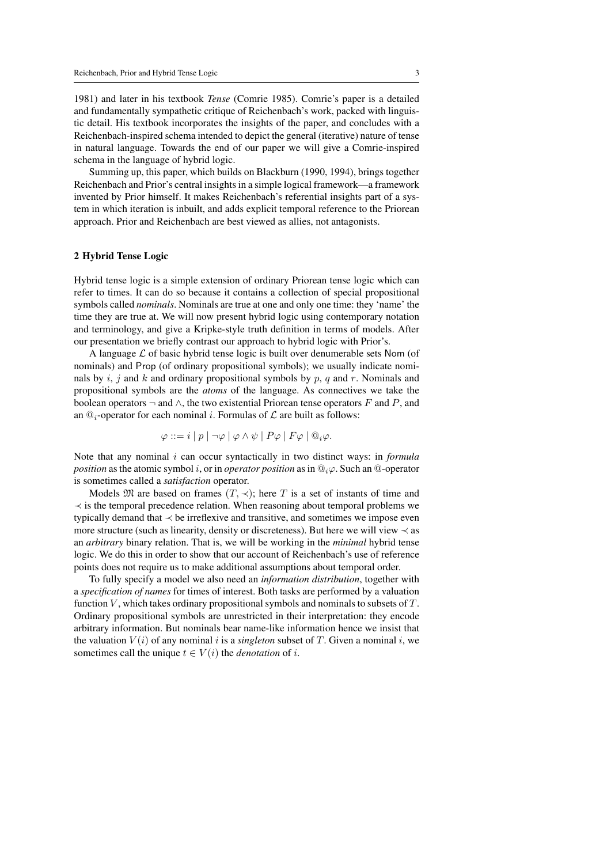1981) and later in his textbook *Tense* (Comrie 1985). Comrie's paper is a detailed and fundamentally sympathetic critique of Reichenbach's work, packed with linguistic detail. His textbook incorporates the insights of the paper, and concludes with a Reichenbach-inspired schema intended to depict the general (iterative) nature of tense in natural language. Towards the end of our paper we will give a Comrie-inspired schema in the language of hybrid logic.

Summing up, this paper, which builds on Blackburn (1990, 1994), brings together Reichenbach and Prior's central insights in a simple logical framework—a framework invented by Prior himself. It makes Reichenbach's referential insights part of a system in which iteration is inbuilt, and adds explicit temporal reference to the Priorean approach. Prior and Reichenbach are best viewed as allies, not antagonists.

## 2 Hybrid Tense Logic

Hybrid tense logic is a simple extension of ordinary Priorean tense logic which can refer to times. It can do so because it contains a collection of special propositional symbols called *nominals*. Nominals are true at one and only one time: they 'name' the time they are true at. We will now present hybrid logic using contemporary notation and terminology, and give a Kripke-style truth definition in terms of models. After our presentation we briefly contrast our approach to hybrid logic with Prior's.

A language  $\mathcal L$  of basic hybrid tense logic is built over denumerable sets Nom (of nominals) and Prop (of ordinary propositional symbols); we usually indicate nominals by i, j and k and ordinary propositional symbols by p, q and r. Nominals and propositional symbols are the *atoms* of the language. As connectives we take the boolean operators  $\neg$  and  $\wedge$ , the two existential Priorean tense operators F and P, and an  $\mathbb{Q}_i$ -operator for each nominal *i*. Formulas of  $\mathcal L$  are built as follows:

$$
\varphi ::= i \mid p \mid \neg \varphi \mid \varphi \land \psi \mid P \varphi \mid F \varphi \mid @_{i} \varphi.
$$

Note that any nominal i can occur syntactically in two distinct ways: in *formula position* as the atomic symbol i, or in *operator position* as in  $@_i\varphi$ . Such an  $@$ -operator is sometimes called a *satisfaction* operator.

Models  $\mathfrak M$  are based on frames  $(T, \prec)$ ; here T is a set of instants of time and  $\prec$  is the temporal precedence relation. When reasoning about temporal problems we typically demand that ≺ be irreflexive and transitive, and sometimes we impose even more structure (such as linearity, density or discreteness). But here we will view  $\prec$  as an *arbitrary* binary relation. That is, we will be working in the *minimal* hybrid tense logic. We do this in order to show that our account of Reichenbach's use of reference points does not require us to make additional assumptions about temporal order.

To fully specify a model we also need an *information distribution*, together with a *specification of names* for times of interest. Both tasks are performed by a valuation function  $V$ , which takes ordinary propositional symbols and nominals to subsets of  $T$ . Ordinary propositional symbols are unrestricted in their interpretation: they encode arbitrary information. But nominals bear name-like information hence we insist that the valuation  $V(i)$  of any nominal i is a *singleton* subset of T. Given a nominal i, we sometimes call the unique  $t \in V(i)$  the *denotation* of i.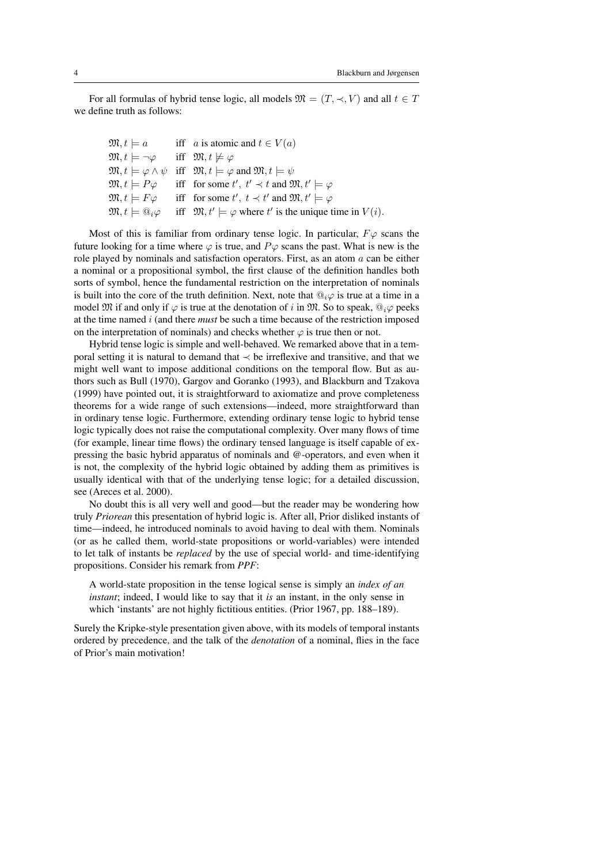For all formulas of hybrid tense logic, all models  $\mathfrak{M} = (T, \prec, V)$  and all  $t \in T$ we define truth as follows:

|                                                                                  | $\mathfrak{M}, t \models a$ iff a is atomic and $t \in V(a)$                                                                        |
|----------------------------------------------------------------------------------|-------------------------------------------------------------------------------------------------------------------------------------|
| $\mathfrak{M}, t \models \neg \varphi$ iff $\mathfrak{M}, t \not\models \varphi$ |                                                                                                                                     |
|                                                                                  | $\mathfrak{M}, t \models \varphi \land \psi \text{ iff } \mathfrak{M}, t \models \varphi \text{ and } \mathfrak{M}, t \models \psi$ |
|                                                                                  | $\mathfrak{M}, t \models P\varphi$ iff for some t', $t' \prec t$ and $\mathfrak{M}, t' \models \varphi$                             |
|                                                                                  | $\mathfrak{M}, t \models F\varphi$ iff for some t', $t \prec t'$ and $\mathfrak{M}, t' \models \varphi$                             |
|                                                                                  | $\mathfrak{M}, t \models \mathbb{Q}_i \varphi$ iff $\mathfrak{M}, t' \models \varphi$ where t' is the unique time in $V(i)$ .       |

Most of this is familiar from ordinary tense logic. In particular,  $F\varphi$  scans the future looking for a time where  $\varphi$  is true, and  $P\varphi$  scans the past. What is new is the role played by nominals and satisfaction operators. First, as an atom  $a$  can be either a nominal or a propositional symbol, the first clause of the definition handles both sorts of symbol, hence the fundamental restriction on the interpretation of nominals is built into the core of the truth definition. Next, note that  $\mathbb{Q}_i\varphi$  is true at a time in a model  $\mathfrak{M}$  if and only if  $\varphi$  is true at the denotation of i in  $\mathfrak{M}$ . So to speak,  $\mathbb{Q}_i\varphi$  peeks at the time named i (and there *must* be such a time because of the restriction imposed on the interpretation of nominals) and checks whether  $\varphi$  is true then or not.

Hybrid tense logic is simple and well-behaved. We remarked above that in a temporal setting it is natural to demand that  $\prec$  be irreflexive and transitive, and that we might well want to impose additional conditions on the temporal flow. But as authors such as Bull (1970), Gargov and Goranko (1993), and Blackburn and Tzakova (1999) have pointed out, it is straightforward to axiomatize and prove completeness theorems for a wide range of such extensions—indeed, more straightforward than in ordinary tense logic. Furthermore, extending ordinary tense logic to hybrid tense logic typically does not raise the computational complexity. Over many flows of time (for example, linear time flows) the ordinary tensed language is itself capable of expressing the basic hybrid apparatus of nominals and @-operators, and even when it is not, the complexity of the hybrid logic obtained by adding them as primitives is usually identical with that of the underlying tense logic; for a detailed discussion, see (Areces et al. 2000).

No doubt this is all very well and good—but the reader may be wondering how truly *Priorean* this presentation of hybrid logic is. After all, Prior disliked instants of time—indeed, he introduced nominals to avoid having to deal with them. Nominals (or as he called them, world-state propositions or world-variables) were intended to let talk of instants be *replaced* by the use of special world- and time-identifying propositions. Consider his remark from *PPF*:

A world-state proposition in the tense logical sense is simply an *index of an instant*; indeed, I would like to say that it *is* an instant, in the only sense in which 'instants' are not highly fictitious entities. (Prior 1967, pp. 188–189).

Surely the Kripke-style presentation given above, with its models of temporal instants ordered by precedence, and the talk of the *denotation* of a nominal, flies in the face of Prior's main motivation!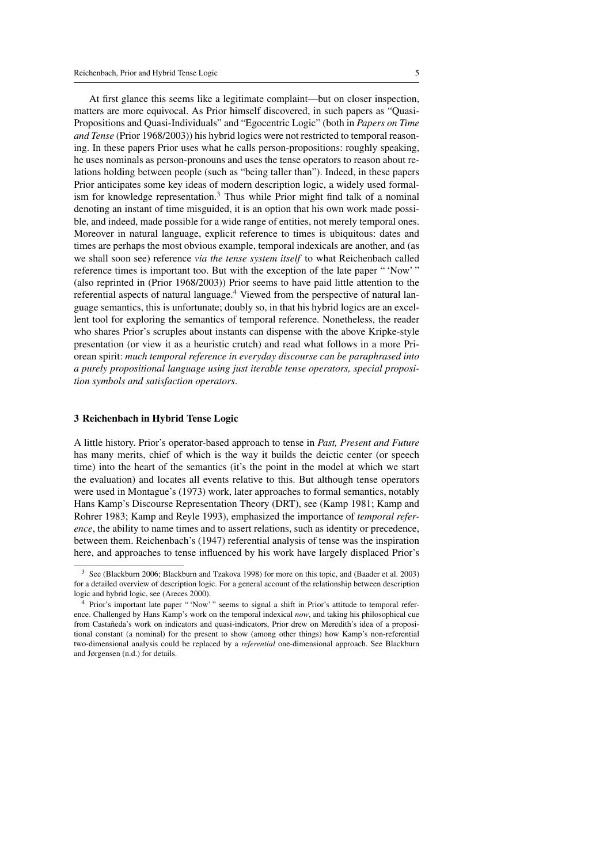At first glance this seems like a legitimate complaint—but on closer inspection, matters are more equivocal. As Prior himself discovered, in such papers as "Quasi-Propositions and Quasi-Individuals" and "Egocentric Logic" (both in *Papers on Time and Tense* (Prior 1968/2003)) his hybrid logics were not restricted to temporal reasoning. In these papers Prior uses what he calls person-propositions: roughly speaking, he uses nominals as person-pronouns and uses the tense operators to reason about relations holding between people (such as "being taller than"). Indeed, in these papers Prior anticipates some key ideas of modern description logic, a widely used formalism for knowledge representation.<sup>3</sup> Thus while Prior might find talk of a nominal denoting an instant of time misguided, it is an option that his own work made possible, and indeed, made possible for a wide range of entities, not merely temporal ones. Moreover in natural language, explicit reference to times is ubiquitous: dates and times are perhaps the most obvious example, temporal indexicals are another, and (as we shall soon see) reference *via the tense system itself* to what Reichenbach called reference times is important too. But with the exception of the late paper " 'Now' " (also reprinted in (Prior 1968/2003)) Prior seems to have paid little attention to the referential aspects of natural language.<sup>4</sup> Viewed from the perspective of natural language semantics, this is unfortunate; doubly so, in that his hybrid logics are an excellent tool for exploring the semantics of temporal reference. Nonetheless, the reader who shares Prior's scruples about instants can dispense with the above Kripke-style presentation (or view it as a heuristic crutch) and read what follows in a more Priorean spirit: *much temporal reference in everyday discourse can be paraphrased into a purely propositional language using just iterable tense operators, special proposition symbols and satisfaction operators*.

#### 3 Reichenbach in Hybrid Tense Logic

A little history. Prior's operator-based approach to tense in *Past, Present and Future* has many merits, chief of which is the way it builds the deictic center (or speech time) into the heart of the semantics (it's the point in the model at which we start the evaluation) and locates all events relative to this. But although tense operators were used in Montague's (1973) work, later approaches to formal semantics, notably Hans Kamp's Discourse Representation Theory (DRT), see (Kamp 1981; Kamp and Rohrer 1983; Kamp and Reyle 1993), emphasized the importance of *temporal reference*, the ability to name times and to assert relations, such as identity or precedence, between them. Reichenbach's (1947) referential analysis of tense was the inspiration here, and approaches to tense influenced by his work have largely displaced Prior's

<sup>3</sup> See (Blackburn 2006; Blackburn and Tzakova 1998) for more on this topic, and (Baader et al. 2003) for a detailed overview of description logic. For a general account of the relationship between description logic and hybrid logic, see (Areces 2000).

<sup>4</sup> Prior's important late paper " 'Now' " seems to signal a shift in Prior's attitude to temporal reference. Challenged by Hans Kamp's work on the temporal indexical *now*, and taking his philosophical cue from Castañeda's work on indicators and quasi-indicators, Prior drew on Meredith's idea of a propositional constant (a nominal) for the present to show (among other things) how Kamp's non-referential two-dimensional analysis could be replaced by a *referential* one-dimensional approach. See Blackburn and Jørgensen (n.d.) for details.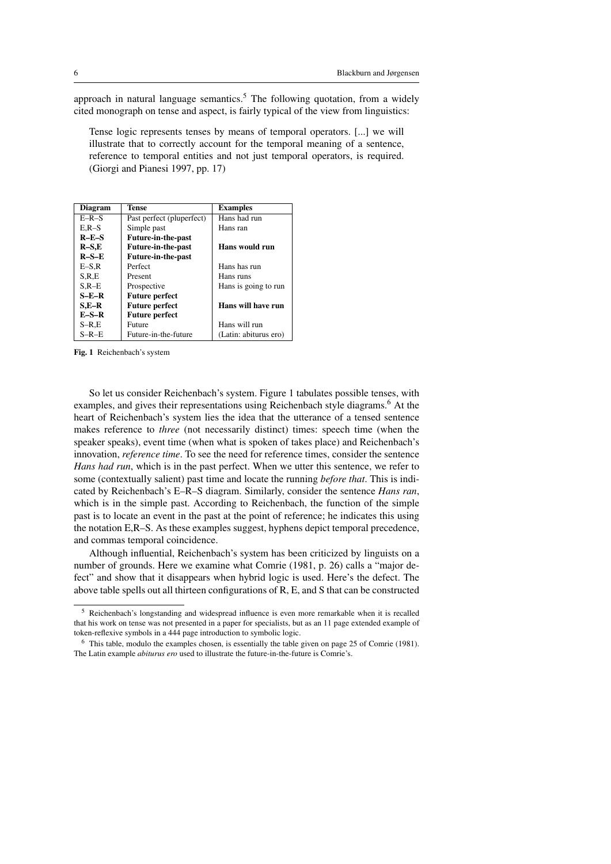approach in natural language semantics.<sup>5</sup> The following quotation, from a widely cited monograph on tense and aspect, is fairly typical of the view from linguistics:

Tense logic represents tenses by means of temporal operators. [...] we will illustrate that to correctly account for the temporal meaning of a sentence, reference to temporal entities and not just temporal operators, is required. (Giorgi and Pianesi 1997, pp. 17)

| Diagram | <b>Tense</b>              | <b>Examples</b>       |
|---------|---------------------------|-----------------------|
| $E-R-S$ | Past perfect (pluperfect) | Hans had run          |
| $E.R-S$ | Simple past               | Hans ran              |
| $R-F-S$ | <b>Future-in-the-past</b> |                       |
| $R-S.E$ | Future-in-the-past        | Hans would run        |
| $R-S-F$ | <b>Future-in-the-past</b> |                       |
| $E-S.R$ | Perfect                   | Hans has run          |
| S.R.E   | Present                   | Hans runs             |
| $S.R-E$ | Prospective               | Hans is going to run  |
| $S-F-R$ | <b>Future perfect</b>     |                       |
| $S.E-R$ | <b>Future perfect</b>     | Hans will have run    |
| $E-S-R$ | <b>Future perfect</b>     |                       |
| S-R.E   | Future                    | Hans will run         |
| $S-R-E$ | Future-in-the-future      | (Latin: abiturus ero) |

Fig. 1 Reichenbach's system

So let us consider Reichenbach's system. Figure 1 tabulates possible tenses, with examples, and gives their representations using Reichenbach style diagrams.<sup>6</sup> At the heart of Reichenbach's system lies the idea that the utterance of a tensed sentence makes reference to *three* (not necessarily distinct) times: speech time (when the speaker speaks), event time (when what is spoken of takes place) and Reichenbach's innovation, *reference time*. To see the need for reference times, consider the sentence *Hans had run*, which is in the past perfect. When we utter this sentence, we refer to some (contextually salient) past time and locate the running *before that*. This is indicated by Reichenbach's E–R–S diagram. Similarly, consider the sentence *Hans ran*, which is in the simple past. According to Reichenbach, the function of the simple past is to locate an event in the past at the point of reference; he indicates this using the notation E,R–S. As these examples suggest, hyphens depict temporal precedence, and commas temporal coincidence.

Although influential, Reichenbach's system has been criticized by linguists on a number of grounds. Here we examine what Comrie (1981, p. 26) calls a "major defect" and show that it disappears when hybrid logic is used. Here's the defect. The above table spells out all thirteen configurations of  $R$ ,  $E$ , and  $S$  that can be constructed

<sup>5</sup> Reichenbach's longstanding and widespread influence is even more remarkable when it is recalled that his work on tense was not presented in a paper for specialists, but as an 11 page extended example of token-reflexive symbols in a 444 page introduction to symbolic logic.

<sup>6</sup> This table, modulo the examples chosen, is essentially the table given on page 25 of Comrie (1981). The Latin example *abiturus ero* used to illustrate the future-in-the-future is Comrie's.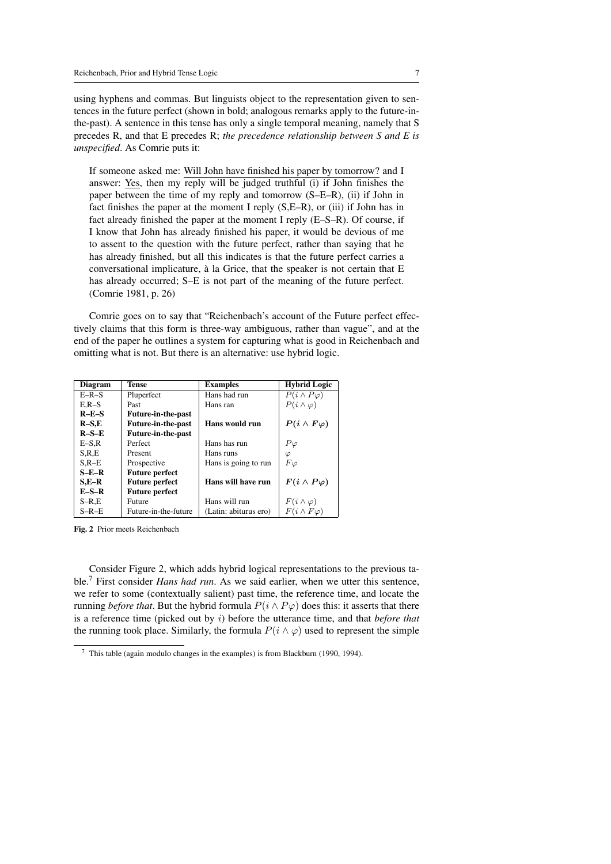using hyphens and commas. But linguists object to the representation given to sentences in the future perfect (shown in bold; analogous remarks apply to the future-inthe-past). A sentence in this tense has only a single temporal meaning, namely that S precedes R, and that E precedes R; *the precedence relationship between S and E is unspecified*. As Comrie puts it:

If someone asked me: Will John have finished his paper by tomorrow? and I answer: <u>Yes</u>, then my reply will be judged truthful (i) if John finishes the paper between the time of my reply and tomorrow (S–E–R), (ii) if John in fact finishes the paper at the moment I reply (S,E–R), or (iii) if John has in fact already finished the paper at the moment I reply (E–S–R). Of course, if I know that John has already finished his paper, it would be devious of me to assent to the question with the future perfect, rather than saying that he has already finished, but all this indicates is that the future perfect carries a conversational implicature,  $\lambda$  la Grice, that the speaker is not certain that E has already occurred; S–E is not part of the meaning of the future perfect. (Comrie 1981, p. 26)

Comrie goes on to say that "Reichenbach's account of the Future perfect effectively claims that this form is three-way ambiguous, rather than vague", and at the end of the paper he outlines a system for capturing what is good in Reichenbach and omitting what is not. But there is an alternative: use hybrid logic.

| <b>Diagram</b> | <b>Tense</b>              | <b>Examples</b>       | <b>Hybrid Logic</b>    |
|----------------|---------------------------|-----------------------|------------------------|
| $E-R-S$        | Pluperfect                | Hans had run          | $P(i \wedge P\varphi)$ |
| $E.R-S$        | Past                      | Hans ran              | $P(i \wedge \varphi)$  |
| $R-F-S$        | <b>Future-in-the-past</b> |                       |                        |
| $R-S.E$        | <b>Future-in-the-past</b> | Hans would run        | $P(i \wedge F\varphi)$ |
| $R-S-F$        | <b>Future-in-the-past</b> |                       |                        |
| $E-S.R$        | Perfect                   | Hans has run          | $P\varphi$             |
| S.R.E          | Present                   | Hans runs             | $\varphi$              |
| $S.R-E$        | Prospective               | Hans is going to run  | $F\varphi$             |
| $S-F-R$        | <b>Future perfect</b>     |                       |                        |
| $S.E-R$        | <b>Future perfect</b>     | Hans will have run    | $F(i \wedge P\varphi)$ |
| $E-S-R$        | <b>Future perfect</b>     |                       |                        |
| S-R.E          | Future                    | Hans will run         | $F(i \wedge \varphi)$  |
| $S-R-E$        | Future-in-the-future      | (Latin: abiturus ero) | $F(i \wedge F\varphi)$ |

Fig. 2 Prior meets Reichenbach

Consider Figure 2, which adds hybrid logical representations to the previous table.<sup>7</sup> First consider *Hans had run*. As we said earlier, when we utter this sentence, we refer to some (contextually salient) past time, the reference time, and locate the running *before that*. But the hybrid formula  $P(i \wedge P\varphi)$  does this: it asserts that there is a reference time (picked out by i) before the utterance time, and that *before that* the running took place. Similarly, the formula  $P(i \wedge \varphi)$  used to represent the simple

<sup>7</sup> This table (again modulo changes in the examples) is from Blackburn (1990, 1994).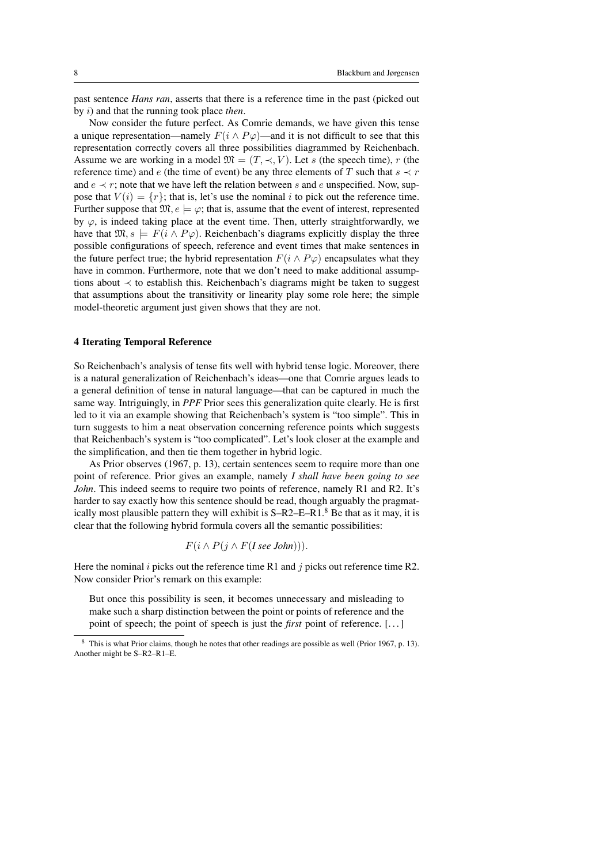past sentence *Hans ran*, asserts that there is a reference time in the past (picked out by i) and that the running took place *then*.

Now consider the future perfect. As Comrie demands, we have given this tense a unique representation—namely  $F(i \wedge P\varphi)$ —and it is not difficult to see that this representation correctly covers all three possibilities diagrammed by Reichenbach. Assume we are working in a model  $\mathfrak{M} = (T, \prec, V)$ . Let s (the speech time), r (the reference time) and e (the time of event) be any three elements of T such that  $s \prec r$ and  $e \prec r$ ; note that we have left the relation between s and e unspecified. Now, suppose that  $V(i) = \{r\}$ ; that is, let's use the nominal i to pick out the reference time. Further suppose that  $\mathfrak{M}, e \models \varphi$ ; that is, assume that the event of interest, represented by  $\varphi$ , is indeed taking place at the event time. Then, utterly straightforwardly, we have that  $\mathfrak{M}, s \models F(i \land P\varphi)$ . Reichenbach's diagrams explicitly display the three possible configurations of speech, reference and event times that make sentences in the future perfect true; the hybrid representation  $F(i \wedge P\varphi)$  encapsulates what they have in common. Furthermore, note that we don't need to make additional assumptions about  $\prec$  to establish this. Reichenbach's diagrams might be taken to suggest that assumptions about the transitivity or linearity play some role here; the simple model-theoretic argument just given shows that they are not.

## 4 Iterating Temporal Reference

So Reichenbach's analysis of tense fits well with hybrid tense logic. Moreover, there is a natural generalization of Reichenbach's ideas—one that Comrie argues leads to a general definition of tense in natural language—that can be captured in much the same way. Intriguingly, in *PPF* Prior sees this generalization quite clearly. He is first led to it via an example showing that Reichenbach's system is "too simple". This in turn suggests to him a neat observation concerning reference points which suggests that Reichenbach's system is "too complicated". Let's look closer at the example and the simplification, and then tie them together in hybrid logic.

As Prior observes (1967, p. 13), certain sentences seem to require more than one point of reference. Prior gives an example, namely *I shall have been going to see John*. This indeed seems to require two points of reference, namely R1 and R2. It's harder to say exactly how this sentence should be read, though arguably the pragmatically most plausible pattern they will exhibit is  $S-R2-E-R1$ .<sup>8</sup> Be that as it may, it is clear that the following hybrid formula covers all the semantic possibilities:

$$
F(i \wedge P(j \wedge F(I \text{ see John}))).
$$

Here the nominal i picks out the reference time R1 and j picks out reference time R2. Now consider Prior's remark on this example:

But once this possibility is seen, it becomes unnecessary and misleading to make such a sharp distinction between the point or points of reference and the point of speech; the point of speech is just the *first* point of reference. [. . . ]

<sup>8</sup> This is what Prior claims, though he notes that other readings are possible as well (Prior 1967, p. 13). Another might be S–R2–R1–E.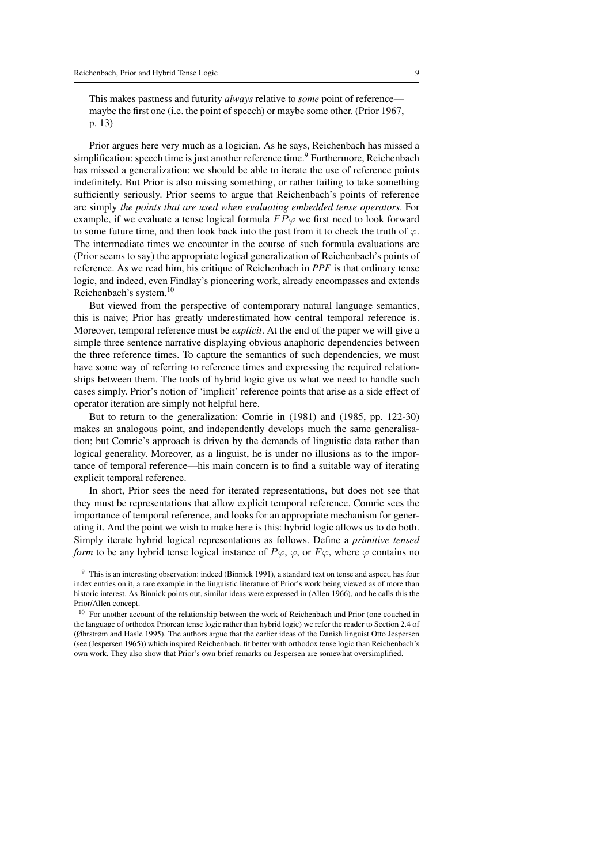This makes pastness and futurity *always* relative to *some* point of reference maybe the first one (i.e. the point of speech) or maybe some other. (Prior 1967, p. 13)

Prior argues here very much as a logician. As he says, Reichenbach has missed a simplification: speech time is just another reference time.<sup>9</sup> Furthermore, Reichenbach has missed a generalization: we should be able to iterate the use of reference points indefinitely. But Prior is also missing something, or rather failing to take something sufficiently seriously. Prior seems to argue that Reichenbach's points of reference are simply *the points that are used when evaluating embedded tense operators*. For example, if we evaluate a tense logical formula  $FP\varphi$  we first need to look forward to some future time, and then look back into the past from it to check the truth of  $\varphi$ . The intermediate times we encounter in the course of such formula evaluations are (Prior seems to say) the appropriate logical generalization of Reichenbach's points of reference. As we read him, his critique of Reichenbach in *PPF* is that ordinary tense logic, and indeed, even Findlay's pioneering work, already encompasses and extends Reichenbach's system.<sup>10</sup>

But viewed from the perspective of contemporary natural language semantics, this is naive; Prior has greatly underestimated how central temporal reference is. Moreover, temporal reference must be *explicit*. At the end of the paper we will give a simple three sentence narrative displaying obvious anaphoric dependencies between the three reference times. To capture the semantics of such dependencies, we must have some way of referring to reference times and expressing the required relationships between them. The tools of hybrid logic give us what we need to handle such cases simply. Prior's notion of 'implicit' reference points that arise as a side effect of operator iteration are simply not helpful here.

But to return to the generalization: Comrie in (1981) and (1985, pp. 122-30) makes an analogous point, and independently develops much the same generalisation; but Comrie's approach is driven by the demands of linguistic data rather than logical generality. Moreover, as a linguist, he is under no illusions as to the importance of temporal reference—his main concern is to find a suitable way of iterating explicit temporal reference.

In short, Prior sees the need for iterated representations, but does not see that they must be representations that allow explicit temporal reference. Comrie sees the importance of temporal reference, and looks for an appropriate mechanism for generating it. And the point we wish to make here is this: hybrid logic allows us to do both. Simply iterate hybrid logical representations as follows. Define a *primitive tensed form* to be any hybrid tense logical instance of  $P\varphi$ ,  $\varphi$ , or  $F\varphi$ , where  $\varphi$  contains no

<sup>&</sup>lt;sup>9</sup> This is an interesting observation: indeed (Binnick 1991), a standard text on tense and aspect, has four index entries on it, a rare example in the linguistic literature of Prior's work being viewed as of more than historic interest. As Binnick points out, similar ideas were expressed in (Allen 1966), and he calls this the Prior/Allen concept.

<sup>&</sup>lt;sup>10</sup> For another account of the relationship between the work of Reichenbach and Prior (one couched in the language of orthodox Priorean tense logic rather than hybrid logic) we refer the reader to Section 2.4 of (Øhrstrøm and Hasle 1995). The authors argue that the earlier ideas of the Danish linguist Otto Jespersen (see (Jespersen 1965)) which inspired Reichenbach, fit better with orthodox tense logic than Reichenbach's own work. They also show that Prior's own brief remarks on Jespersen are somewhat oversimplified.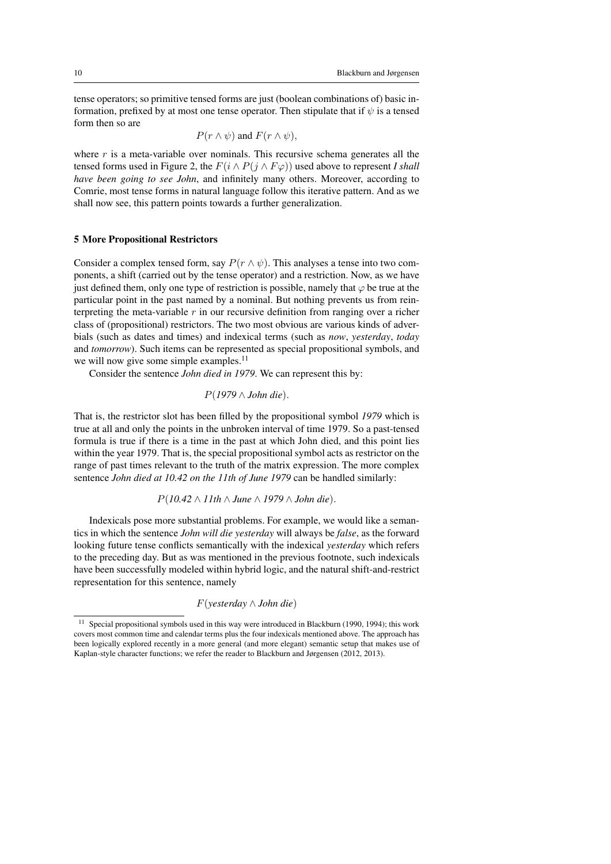tense operators; so primitive tensed forms are just (boolean combinations of) basic information, prefixed by at most one tense operator. Then stipulate that if  $\psi$  is a tensed form then so are

 $P(r \wedge \psi)$  and  $F(r \wedge \psi)$ ,

where  $r$  is a meta-variable over nominals. This recursive schema generates all the tensed forms used in Figure 2, the  $F(i \wedge P(j \wedge F\varphi))$  used above to represent *I shall have been going to see John*, and infinitely many others. Moreover, according to Comrie, most tense forms in natural language follow this iterative pattern. And as we shall now see, this pattern points towards a further generalization.

## 5 More Propositional Restrictors

Consider a complex tensed form, say  $P(r \wedge \psi)$ . This analyses a tense into two components, a shift (carried out by the tense operator) and a restriction. Now, as we have just defined them, only one type of restriction is possible, namely that  $\varphi$  be true at the particular point in the past named by a nominal. But nothing prevents us from reinterpreting the meta-variable  $r$  in our recursive definition from ranging over a richer class of (propositional) restrictors. The two most obvious are various kinds of adverbials (such as dates and times) and indexical terms (such as *now*, *yesterday*, *today* and *tomorrow*). Such items can be represented as special propositional symbols, and we will now give some simple examples.<sup>11</sup>

Consider the sentence *John died in 1979*. We can represent this by:

$$
P(1979 \land John die).
$$

That is, the restrictor slot has been filled by the propositional symbol *1979* which is true at all and only the points in the unbroken interval of time 1979. So a past-tensed formula is true if there is a time in the past at which John died, and this point lies within the year 1979. That is, the special propositional symbol acts as restrictor on the range of past times relevant to the truth of the matrix expression. The more complex sentence *John died at 10.42 on the 11th of June 1979* can be handled similarly:

# P(*10.42* ∧ *11th* ∧ *June* ∧ *1979* ∧ *John die*).

Indexicals pose more substantial problems. For example, we would like a semantics in which the sentence *John will die yesterday* will always be *false*, as the forward looking future tense conflicts semantically with the indexical *yesterday* which refers to the preceding day. But as was mentioned in the previous footnote, such indexicals have been successfully modeled within hybrid logic, and the natural shift-and-restrict representation for this sentence, namely

## F(*yesterday* ∧ *John die*)

<sup>&</sup>lt;sup>11</sup> Special propositional symbols used in this way were introduced in Blackburn (1990, 1994); this work covers most common time and calendar terms plus the four indexicals mentioned above. The approach has been logically explored recently in a more general (and more elegant) semantic setup that makes use of Kaplan-style character functions; we refer the reader to Blackburn and Jørgensen (2012, 2013).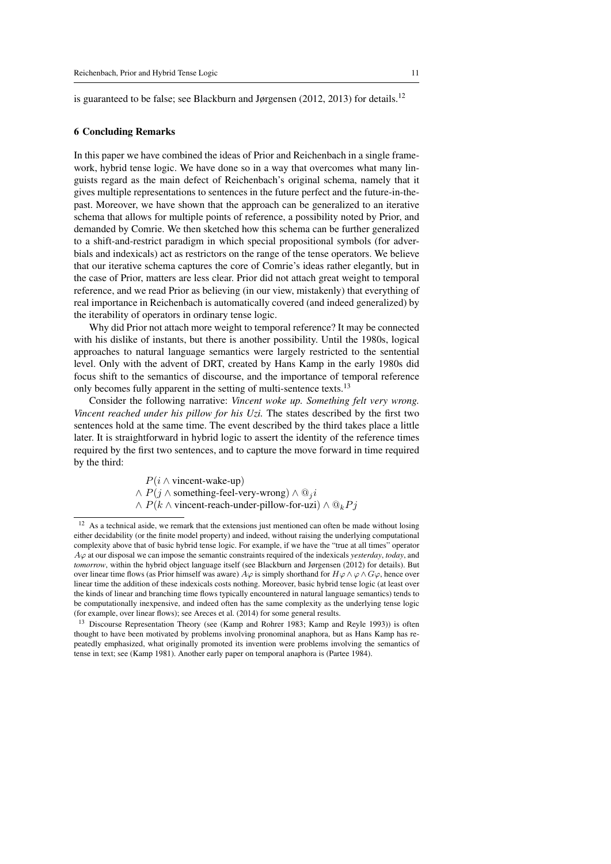is guaranteed to be false; see Blackburn and Jørgensen (2012, 2013) for details.<sup>12</sup>

### 6 Concluding Remarks

In this paper we have combined the ideas of Prior and Reichenbach in a single framework, hybrid tense logic. We have done so in a way that overcomes what many linguists regard as the main defect of Reichenbach's original schema, namely that it gives multiple representations to sentences in the future perfect and the future-in-thepast. Moreover, we have shown that the approach can be generalized to an iterative schema that allows for multiple points of reference, a possibility noted by Prior, and demanded by Comrie. We then sketched how this schema can be further generalized to a shift-and-restrict paradigm in which special propositional symbols (for adverbials and indexicals) act as restrictors on the range of the tense operators. We believe that our iterative schema captures the core of Comrie's ideas rather elegantly, but in the case of Prior, matters are less clear. Prior did not attach great weight to temporal reference, and we read Prior as believing (in our view, mistakenly) that everything of real importance in Reichenbach is automatically covered (and indeed generalized) by the iterability of operators in ordinary tense logic.

Why did Prior not attach more weight to temporal reference? It may be connected with his dislike of instants, but there is another possibility. Until the 1980s, logical approaches to natural language semantics were largely restricted to the sentential level. Only with the advent of DRT, created by Hans Kamp in the early 1980s did focus shift to the semantics of discourse, and the importance of temporal reference only becomes fully apparent in the setting of multi-sentence texts.<sup>13</sup>

Consider the following narrative: *Vincent woke up. Something felt very wrong. Vincent reached under his pillow for his Uzi.* The states described by the first two sentences hold at the same time. The event described by the third takes place a little later. It is straightforward in hybrid logic to assert the identity of the reference times required by the first two sentences, and to capture the move forward in time required by the third:

> $P(i \wedge$  vincent-wake-up)  $\land$  P(j  $\land$  something-feel-very-wrong)  $\land$   $@_i i$  $\land$  P(k  $\land$  vincent-reach-under-pillow-for-uzi)  $\land$   $@_kPj$

<sup>&</sup>lt;sup>12</sup> As a technical aside, we remark that the extensions just mentioned can often be made without losing either decidability (or the finite model property) and indeed, without raising the underlying computational complexity above that of basic hybrid tense logic. For example, if we have the "true at all times" operator Aϕ at our disposal we can impose the semantic constraints required of the indexicals *yesterday*, *today*, and *tomorrow*, within the hybrid object language itself (see Blackburn and Jørgensen (2012) for details). But over linear time flows (as Prior himself was aware)  $A\varphi$  is simply shorthand for  $H\varphi \wedge \varphi \wedge G\varphi$ , hence over linear time the addition of these indexicals costs nothing. Moreover, basic hybrid tense logic (at least over the kinds of linear and branching time flows typically encountered in natural language semantics) tends to be computationally inexpensive, and indeed often has the same complexity as the underlying tense logic (for example, over linear flows); see Areces et al. (2014) for some general results.

<sup>&</sup>lt;sup>13</sup> Discourse Representation Theory (see (Kamp and Rohrer 1983; Kamp and Reyle 1993)) is often thought to have been motivated by problems involving pronominal anaphora, but as Hans Kamp has repeatedly emphasized, what originally promoted its invention were problems involving the semantics of tense in text; see (Kamp 1981). Another early paper on temporal anaphora is (Partee 1984).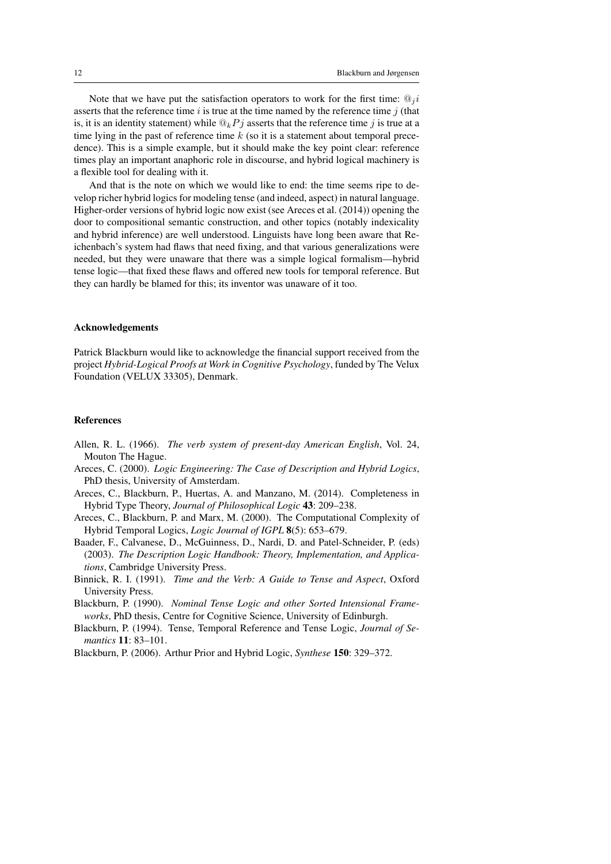Note that we have put the satisfaction operators to work for the first time:  $\mathbb{Q}_i i$ asserts that the reference time  $i$  is true at the time named by the reference time  $j$  (that is, it is an identity statement) while  $\mathbb{Q}_k P j$  asserts that the reference time j is true at a time lying in the past of reference time  $k$  (so it is a statement about temporal precedence). This is a simple example, but it should make the key point clear: reference times play an important anaphoric role in discourse, and hybrid logical machinery is a flexible tool for dealing with it.

And that is the note on which we would like to end: the time seems ripe to develop richer hybrid logics for modeling tense (and indeed, aspect) in natural language. Higher-order versions of hybrid logic now exist (see Areces et al. (2014)) opening the door to compositional semantic construction, and other topics (notably indexicality and hybrid inference) are well understood. Linguists have long been aware that Reichenbach's system had flaws that need fixing, and that various generalizations were needed, but they were unaware that there was a simple logical formalism—hybrid tense logic—that fixed these flaws and offered new tools for temporal reference. But they can hardly be blamed for this; its inventor was unaware of it too.

#### Acknowledgements

Patrick Blackburn would like to acknowledge the financial support received from the project *Hybrid-Logical Proofs at Work in Cognitive Psychology*, funded by The Velux Foundation (VELUX 33305), Denmark.

## References

- Allen, R. L. (1966). *The verb system of present-day American English*, Vol. 24, Mouton The Hague.
- Areces, C. (2000). *Logic Engineering: The Case of Description and Hybrid Logics*, PhD thesis, University of Amsterdam.
- Areces, C., Blackburn, P., Huertas, A. and Manzano, M. (2014). Completeness in Hybrid Type Theory, *Journal of Philosophical Logic* 43: 209–238.
- Areces, C., Blackburn, P. and Marx, M. (2000). The Computational Complexity of Hybrid Temporal Logics, *Logic Journal of IGPL* 8(5): 653–679.
- Baader, F., Calvanese, D., McGuinness, D., Nardi, D. and Patel-Schneider, P. (eds) (2003). *The Description Logic Handbook: Theory, Implementation, and Applications*, Cambridge University Press.
- Binnick, R. I. (1991). *Time and the Verb: A Guide to Tense and Aspect*, Oxford University Press.
- Blackburn, P. (1990). *Nominal Tense Logic and other Sorted Intensional Frameworks*, PhD thesis, Centre for Cognitive Science, University of Edinburgh.
- Blackburn, P. (1994). Tense, Temporal Reference and Tense Logic, *Journal of Semantics* 11: 83–101.
- Blackburn, P. (2006). Arthur Prior and Hybrid Logic, *Synthese* 150: 329–372.